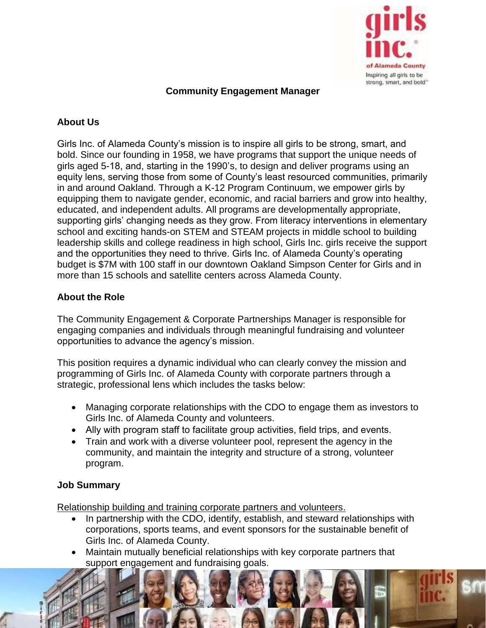

# **Community Engagement Manager**

# **About Us**

Girls Inc. of Alameda County's mission is to inspire all girls to be strong, smart, and bold. Since our founding in 1958, we have programs that support the unique needs of girls aged 5-18, and, starting in the 1990's, to design and deliver programs using an equity lens, serving those from some of County's least resourced communities, primarily in and around Oakland. Through a K-12 Program Continuum, we empower girls by equipping them to navigate gender, economic, and racial barriers and grow into healthy, educated, and independent adults. All programs are developmentally appropriate, supporting girls' changing needs as they grow. From literacy interventions in elementary school and exciting hands-on STEM and STEAM projects in middle school to building leadership skills and college readiness in high school, Girls Inc. girls receive the support and the opportunities they need to thrive. Girls Inc. of Alameda County's operating budget is \$7M with 100 staff in our downtown Oakland Simpson Center for Girls and in more than 15 schools and satellite centers across Alameda County.

# **About the Role**

The Community Engagement & Corporate Partnerships Manager is responsible for engaging companies and individuals through meaningful fundraising and volunteer opportunities to advance the agency's mission. 

This position requires a dynamic individual who can clearly convey the mission and programming of Girls Inc. of Alameda County with corporate partners through a strategic, professional lens which includes the tasks below:

- Managing corporate relationships with the CDO to engage them as investors to Girls Inc. of Alameda County and volunteers.
- Ally with program staff to facilitate group activities, field trips, and events.
- Train and work with a diverse volunteer pool, represent the agency in the community, and maintain the integrity and structure of a strong, volunteer program.

## **Job Summary**

Relationship building and training corporate partners and volunteers.

- In partnership with the CDO, identify, establish, and steward relationships with corporations, sports teams, and event sponsors for the sustainable benefit of Girls Inc. of Alameda County.
- Maintain mutually beneficial relationships with key corporate partners that support engagement and fundraising goals.

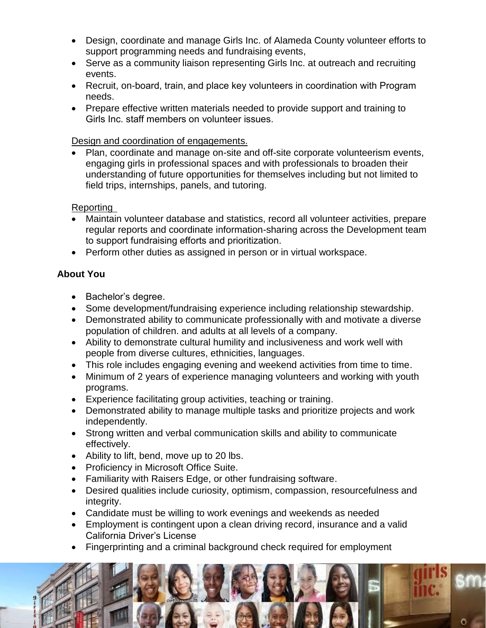- Design, coordinate and manage Girls Inc. of Alameda County volunteer efforts to support programming needs and fundraising events,
- Serve as a community liaison representing Girls Inc. at outreach and recruiting events.
- Recruit, on-board, train, and place key volunteers in coordination with Program needs.
- Prepare effective written materials needed to provide support and training to Girls Inc. staff members on volunteer issues.

### Design and coordination of engagements.

• Plan, coordinate and manage on-site and off-site corporate volunteerism events, engaging girls in professional spaces and with professionals to broaden their understanding of future opportunities for themselves including but not limited to field trips, internships, panels, and tutoring.

#### Reporting

- Maintain volunteer database and statistics, record all volunteer activities, prepare regular reports and coordinate information-sharing across the Development team to support fundraising efforts and prioritization.
- Perform other duties as assigned in person or in virtual workspace.

## **About You**

- Bachelor's degree.
- Some development/fundraising experience including relationship stewardship.
- Demonstrated ability to communicate professionally with and motivate a diverse population of children. and adults at all levels of a company.
- Ability to demonstrate cultural humility and inclusiveness and work well with people from diverse cultures, ethnicities, languages.
- This role includes engaging evening and weekend activities from time to time.
- Minimum of 2 years of experience managing volunteers and working with youth programs.
- Experience facilitating group activities, teaching or training.
- Demonstrated ability to manage multiple tasks and prioritize projects and work independently.
- Strong written and verbal communication skills and ability to communicate effectively.
- Ability to lift, bend, move up to 20 lbs.
- Proficiency in Microsoft Office Suite.
- Familiarity with Raisers Edge, or other fundraising software.
- Desired qualities include curiosity, optimism, compassion, resourcefulness and integrity.
- Candidate must be willing to work evenings and weekends as needed
- Employment is contingent upon a clean driving record, insurance and a valid California Driver's License
- Fingerprinting and a criminal background check required for employment